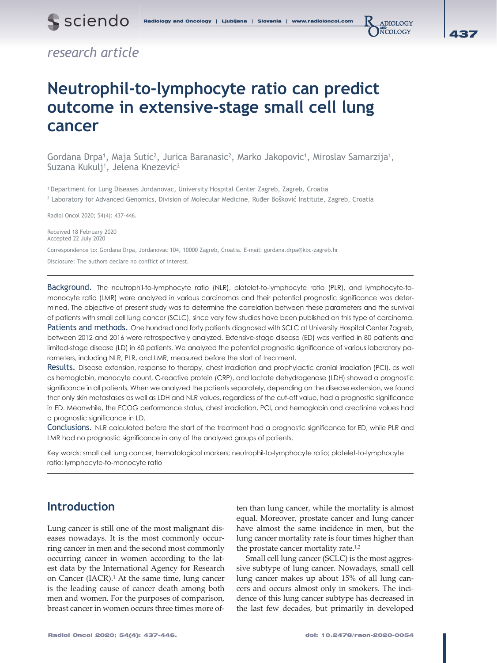

## *research article*

# **Neutrophil-to-lymphocyte ratio can predict outcome in extensive-stage small cell lung cancer**

Gordana Drpa<sup>1</sup>, Maja Sutic<sup>2</sup>, Jurica Baranasic<sup>2</sup>, Marko Jakopovic<sup>1</sup>, Miroslav Samarzija<sup>1</sup>, Suzana Kukulj<sup>1</sup>, Jelena Knezevic<sup>2</sup>

1 Department for Lung Diseases Jordanovac, University Hospital Center Zagreb, Zagreb, Croatia 2 Laboratory for Advanced Genomics, Division of Molecular Medicine, Ruđer Bošković Institute, Zagreb, Croatia

Radiol Oncol 2020; 54(4): 437-446.

Received 18 February 2020 Accepted 22 July 2020

Correspondence to: Gordana Drpa, Jordanovac 104, 10000 Zagreb, Croatia. E-mail: gordana.drpa@kbc-zagreb.hr Disclosure: The authors declare no conflict of interest.

Background. The neutrophil-to-lymphocyte ratio (NLR), platelet-to-lymphocyte ratio (PLR), and lymphocyte-tomonocyte ratio (LMR) were analyzed in various carcinomas and their potential prognostic significance was determined. The objective of present study was to determine the correlation between these parameters and the survival of patients with small cell lung cancer (SCLC), since very few studies have been published on this type of carcinoma. Patients and methods. One hundred and forty patients diagnosed with SCLC at University Hospital Center Zagreb, between 2012 and 2016 were retrospectively analyzed. Extensive-stage disease (ED) was verified in 80 patients and limited-stage disease (LD) in 60 patients. We analyzed the potential prognostic significance of various laboratory parameters, including NLR, PLR, and LMR, measured before the start of treatment.

Results. Disease extension, response to therapy, chest irradiation and prophylactic cranial irradiation (PCI), as well as hemoglobin, monocyte count, C-reactive protein (CRP), and lactate dehydrogenase (LDH) showed a prognostic significance in all patients. When we analyzed the patients separately, depending on the disease extension, we found that only skin metastases as well as LDH and NLR values, regardless of the cut-off value, had a prognostic significance in ED. Meanwhile, the ECOG performance status, chest irradiation, PCI, and hemoglobin and creatinine values had a prognostic significance in LD.

Conclusions. NLR calculated before the start of the treatment had a prognostic significance for ED, while PLR and LMR had no prognostic significance in any of the analyzed groups of patients.

Key words: small cell lung cancer; hematological markers; neutrophil-to-lymphocyte ratio; platelet-to-lymphocyte ratio; lymphocyte-to-monocyte ratio

### **Introduction**

Lung cancer is still one of the most malignant diseases nowadays. It is the most commonly occurring cancer in men and the second most commonly occurring cancer in women according to the latest data by the International Agency for Research on Cancer (IACR).<sup>1</sup> At the same time, lung cancer is the leading cause of cancer death among both men and women. For the purposes of comparison, breast cancer in women occurs three times more often than lung cancer, while the mortality is almost equal. Moreover, prostate cancer and lung cancer have almost the same incidence in men, but the lung cancer mortality rate is four times higher than the prostate cancer mortality rate.<sup>1,2</sup>

Small cell lung cancer (SCLC) is the most aggressive subtype of lung cancer. Nowadays, small cell lung cancer makes up about 15% of all lung cancers and occurs almost only in smokers. The incidence of this lung cancer subtype has decreased in the last few decades, but primarily in developed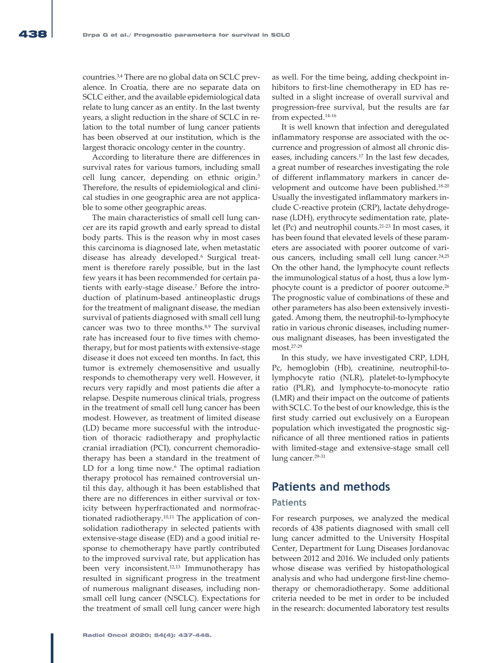countries.3,4 There are no global data on SCLC prevalence. In Croatia, there are no separate data on SCLC either, and the available epidemiological data relate to lung cancer as an entity. In the last twenty years, a slight reduction in the share of SCLC in relation to the total number of lung cancer patients has been observed at our institution, which is the largest thoracic oncology center in the country.

According to literature there are differences in survival rates for various tumors, including small cell lung cancer, depending on ethnic origin.<sup>5</sup> Therefore, the results of epidemiological and clinical studies in one geographic area are not applicable to some other geographic areas.

The main characteristics of small cell lung cancer are its rapid growth and early spread to distal body parts. This is the reason why in most cases this carcinoma is diagnosed late, when metastatic disease has already developed.6 Surgical treatment is therefore rarely possible, but in the last few years it has been recommended for certain patients with early-stage disease.7 Before the introduction of platinum-based antineoplastic drugs for the treatment of malignant disease, the median survival of patients diagnosed with small cell lung cancer was two to three months.<sup>8,9</sup> The survival rate has increased four to five times with chemotherapy, but for most patients with extensive-stage disease it does not exceed ten months. In fact, this tumor is extremely chemosensitive and usually responds to chemotherapy very well. However, it recurs very rapidly and most patients die after a relapse. Despite numerous clinical trials, progress in the treatment of small cell lung cancer has been modest. However, as treatment of limited disease (LD) became more successful with the introduction of thoracic radiotherapy and prophylactic cranial irradiation (PCI), concurrent chemoradiotherapy has been a standard in the treatment of LD for a long time now.<sup>6</sup> The optimal radiation therapy protocol has remained controversial until this day, although it has been established that there are no differences in either survival or toxicity between hyperfractionated and normofractionated radiotherapy.10,11 The application of consolidation radiotherapy in selected patients with extensive-stage disease (ED) and a good initial response to chemotherapy have partly contributed to the improved survival rate, but application has been very inconsistent.12,13 Immunotherapy has resulted in significant progress in the treatment of numerous malignant diseases, including nonsmall cell lung cancer (NSCLC). Expectations for the treatment of small cell lung cancer were high

as well. For the time being, adding checkpoint inhibitors to first-line chemotherapy in ED has resulted in a slight increase of overall survival and progression-free survival, but the results are far from expected.14-16

It is well known that infection and deregulated inflammatory response are associated with the occurrence and progression of almost all chronic diseases, including cancers.<sup>17</sup> In the last few decades, a great number of researches investigating the role of different inflammatory markers in cancer development and outcome have been published.<sup>18-20</sup> Usually the investigated inflammatory markers include C-reactive protein (CRP), lactate dehydrogenase (LDH), erythrocyte sedimentation rate, platelet (Pc) and neutrophil counts.21-23 In most cases, it has been found that elevated levels of these parameters are associated with poorer outcome of various cancers, including small cell lung cancer.<sup>24,25</sup> On the other hand, the lymphocyte count reflects the immunological status of a host, thus a low lymphocyte count is a predictor of poorer outcome.26 The prognostic value of combinations of these and other parameters has also been extensively investigated. Among them, the neutrophil-to-lymphocyte ratio in various chronic diseases, including numerous malignant diseases, has been investigated the most.27-29

In this study, we have investigated CRP, LDH, Pc, hemoglobin (Hb), creatinine, neutrophil-tolymphocyte ratio (NLR), platelet-to-lymphocyte ratio (PLR), and lymphocyte-to-monocyte ratio (LMR) and their impact on the outcome of patients with SCLC. To the best of our knowledge, this is the first study carried out exclusively on a European population which investigated the prognostic significance of all three mentioned ratios in patients with limited-stage and extensive-stage small cell lung cancer.<sup>29-31</sup>

### **Patients and methods**

### **Patients**

For research purposes, we analyzed the medical records of 438 patients diagnosed with small cell lung cancer admitted to the University Hospital Center, Department for Lung Diseases Jordanovac between 2012 and 2016. We included only patients whose disease was verified by histopathological analysis and who had undergone first-line chemotherapy or chemoradiotherapy. Some additional criteria needed to be met in order to be included in the research: documented laboratory test results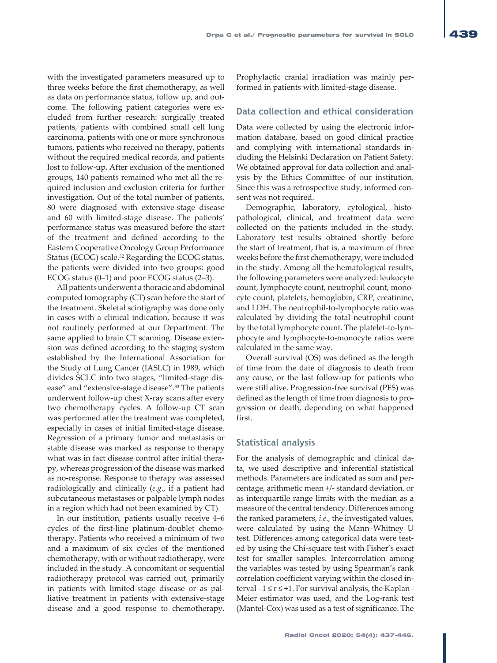with the investigated parameters measured up to three weeks before the first chemotherapy, as well as data on performance status, follow up, and outcome. The following patient categories were excluded from further research: surgically treated patients, patients with combined small cell lung carcinoma, patients with one or more synchronous tumors, patients who received no therapy, patients without the required medical records, and patients lost to follow-up. After exclusion of the mentioned groups, 140 patients remained who met all the required inclusion and exclusion criteria for further investigation. Out of the total number of patients, 80 were diagnosed with extensive-stage disease and 60 with limited-stage disease. The patients' performance status was measured before the start of the treatment and defined according to the Eastern Cooperative Oncology Group Performance Status (ECOG) scale.32 Regarding the ECOG status, the patients were divided into two groups: good ECOG status (0–1) and poor ECOG status (2–3).

All patients underwent a thoracic and abdominal computed tomography (CT) scan before the start of the treatment. Skeletal scintigraphy was done only in cases with a clinical indication, because it was not routinely performed at our Department. The same applied to brain CT scanning. Disease extension was defined according to the staging system established by the International Association for the Study of Lung Cancer (IASLC) in 1989, which divides SCLC into two stages, "limited-stage disease" and "extensive-stage disease".<sup>33</sup> The patients underwent follow-up chest X-ray scans after every two chemotherapy cycles. A follow-up CT scan was performed after the treatment was completed, especially in cases of initial limited-stage disease. Regression of a primary tumor and metastasis or stable disease was marked as response to therapy what was in fact disease control after initial therapy, whereas progression of the disease was marked as no-response. Response to therapy was assessed radiologically and clinically (*e.g*., if a patient had subcutaneous metastases or palpable lymph nodes in a region which had not been examined by CT).

In our institution, patients usually receive 4–6 cycles of the first-line platinum-doublet chemotherapy. Patients who received a minimum of two and a maximum of six cycles of the mentioned chemotherapy, with or without radiotherapy, were included in the study. A concomitant or sequential radiotherapy protocol was carried out, primarily in patients with limited-stage disease or as palliative treatment in patients with extensive-stage disease and a good response to chemotherapy. Prophylactic cranial irradiation was mainly performed in patients with limited-stage disease.

### **Data collection and ethical consideration**

Data were collected by using the electronic information database, based on good clinical practice and complying with international standards including the Helsinki Declaration on Patient Safety. We obtained approval for data collection and analysis by the Ethics Committee of our institution. Since this was a retrospective study, informed consent was not required.

Demographic, laboratory, cytological, histopathological, clinical, and treatment data were collected on the patients included in the study. Laboratory test results obtained shortly before the start of treatment, that is, a maximum of three weeks before the first chemotherapy, were included in the study. Among all the hematological results, the following parameters were analyzed: leukocyte count, lymphocyte count, neutrophil count, monocyte count, platelets, hemoglobin, CRP, creatinine, and LDH. The neutrophil-to-lymphocyte ratio was calculated by dividing the total neutrophil count by the total lymphocyte count. The platelet-to-lymphocyte and lymphocyte-to-monocyte ratios were calculated in the same way.

Overall survival (OS) was defined as the length of time from the date of diagnosis to death from any cause, or the last follow-up for patients who were still alive. Progression-free survival (PFS) was defined as the length of time from diagnosis to progression or death, depending on what happened first.

#### **Statistical analysis**

For the analysis of demographic and clinical data, we used descriptive and inferential statistical methods. Parameters are indicated as sum and percentage, arithmetic mean +/- standard deviation, or as interquartile range limits with the median as a measure of the central tendency. Differences among the ranked parameters, *i.e*., the investigated values, were calculated by using the Mann–Whitney U test. Differences among categorical data were tested by using the Chi-square test with Fisher's exact test for smaller samples. Intercorrelation among the variables was tested by using Spearman's rank correlation coefficient varying within the closed interval  $-1 \le r \le +1$ . For survival analysis, the Kaplan– Meier estimator was used, and the Log-rank test (Mantel-Cox) was used as a test of significance. The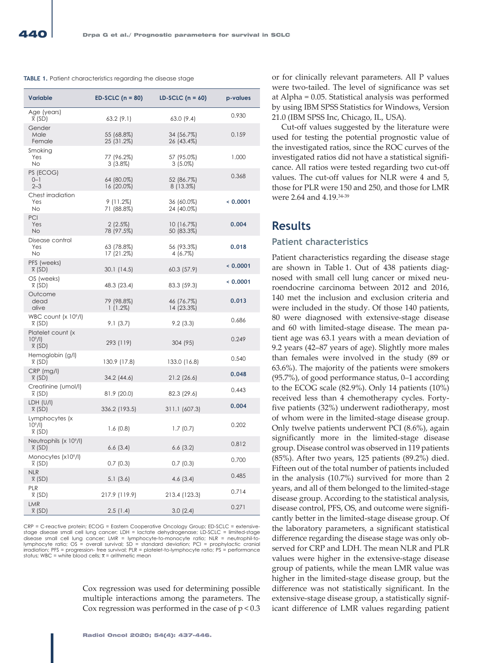#### **TABLE 1.** Patient characteristics regarding the disease stage

| <b>Variable</b>                                                 | $ED-SCIC$ (n = 80)<br>LD-SCLC $(n = 60)$ |                          | p-values |
|-----------------------------------------------------------------|------------------------------------------|--------------------------|----------|
| Age (years)<br>$\overline{x}$ (SD)                              | 63.2(9.1)                                | 63.0(9.4)                | 0.930    |
| Gender<br>Male<br>Female                                        | 55 (68.8%)<br>25 (31.2%)                 | 34 (56.7%)<br>26 (43.4%) | 0.159    |
| Smoking<br>Yes<br><b>No</b>                                     | 77 (96.2%)<br>$3(3.8\%)$                 | 57 (95.0%)<br>$3(5.0\%)$ | 1.000    |
| PS (ECOG)<br>$0 - 1$<br>$2 - 3$                                 | 64 (80.0%)<br>16 (20.0%)                 | 52 (86.7%)<br>8 (13.3%)  | 0.368    |
| Chest irradiation<br>Yes<br><b>No</b>                           | $9(11.2\%)$<br>71 (88.8%)                | 36 (60.0%)<br>24 (40.0%) | < 0.0001 |
| PCI<br>Yes<br>No.                                               | $2(2.5\%)$<br>78 (97.5%)                 | 10 (16.7%)<br>50 (83.3%) | 0.004    |
| Disease control<br>Yes<br>No                                    | 63 (78.8%)<br>17 (21.2%)                 | 56 (93.3%)<br>4(6.7%)    | 0.018    |
| PFS (weeks)<br>$\overline{x}$ (SD)                              | 30.1(14.5)                               | 60.3 (57.9)              | 0.0001   |
| OS (weeks)<br>$\overline{x}$ (SD)                               | 48.3 (23.4)                              | 83.3 (59.3)              | < 0.0001 |
| Outcome<br>dead<br>alive                                        | 79 (98.8%)<br>$1(1.2\%)$                 | 46 (76.7%)<br>14 (23.3%) | 0.013    |
| WBC count (x 109/l)<br>$\overline{x}$ (SD)                      | 9.1(3.7)                                 | 9.2(3.3)                 | 0.686    |
| Platelet count (x<br>10 <sup>9</sup> /I)<br>$\overline{x}$ (SD) | 293 (119)                                | 304 (95)                 | 0.249    |
| Hemoglobin (g/l)<br>$\bar{x}$ (SD)                              | 130.9 (17.8)                             | 133.0 (16.8)             | 0.540    |
| CRP (mg/l)<br>$\overline{x}$ (SD)                               | 34.2 (44.6)                              | $21.2$ (26.6)            | 0.048    |
| Creatinine (umol/l)<br>$\bar{x}$ (SD)                           | 81.9 (20.0)                              | 82.3 (29.6)              | 0.443    |
| LDH (U/I)<br>$\overline{x}$ (SD)                                | 336.2 (193.5)                            | 311.1 (607.3)            | 0.004    |
| Lymphocytes (x<br>10 <sup>9</sup> /I)<br>$\overline{x}$ (SD)    | 1.6(0.8)                                 | 1.7(0.7)                 | 0.202    |
| Neutrophils (x 10 <sup>9</sup> /l)<br>$\overline{x}$ (SD)       | 6.6(3.4)                                 | 6.6(3.2)                 | 0.812    |
| Monocytes (x109/l)<br>$\bar{x}$ (SD)                            | 0.7(0.3)                                 | 0.7(0.3)                 | 0.700    |
| <b>NLR</b><br>$\overline{x}$ (SD)                               | 5.1 (3.6)                                | 4.6 $(3.4)$              | 0.485    |
| <b>PLR</b><br>$\bar{x}$ (SD)                                    | 217.9 (119.9)                            | 213.4 (123.3)            | 0.714    |
| LMR<br>$\overline{x}$ (SD)                                      | 2.5(1.4)                                 | 3.0(2.4)                 | 0.271    |

CRP = C-reactive protein; ECOG = Eastern Cooperative Oncology Group; ED-SCLC = extensivestage disease small cell lung cancer; LDH = lactate dehydrogenase; LD-SCLC = limited-stage disease small cell lung cancer; LMR = lymphocyte-to-monocyte ratio; NLR = neutrophil-to-<br>lymphocyte ratio; OS = overall survival; SD = standard deviation; PCI = prophylactic cranial<br>irradiation; PFS = progression- free sur status; WBC = white blood cells;  $\bar{x}$  = arithmetic mean

> Cox regression was used for determining possible multiple interactions among the parameters. The Cox regression was performed in the case of  $p < 0.3$

or for clinically relevant parameters. All P values were two-tailed. The level of significance was set at Alpha = 0.05. Statistical analysis was performed by using IBM SPSS Statistics for Windows, Version 21.0 (IBM SPSS Inc, Chicago, IL, USA).

Cut-off values suggested by the literature were used for testing the potential prognostic value of the investigated ratios, since the ROC curves of the investigated ratios did not have a statistical significance. All ratios were tested regarding two cut-off values. The cut-off values for NLR were 4 and 5, those for PLR were 150 and 250, and those for LMR were 2.64 and 4.19.34-39

### **Results**

#### **Patient characteristics**

Patient characteristics regarding the disease stage are shown in Table 1. Out of 438 patients diagnosed with small cell lung cancer or mixed neuroendocrine carcinoma between 2012 and 2016, 140 met the inclusion and exclusion criteria and were included in the study. Of those 140 patients, 80 were diagnosed with extensive-stage disease and 60 with limited-stage disease. The mean patient age was 63.1 years with a mean deviation of 9.2 years (42–87 years of age). Slightly more males than females were involved in the study (89 or 63.6%). The majority of the patients were smokers (95.7%), of good performance status, 0–1 according to the ECOG scale (82.9%). Only 14 patients (10%) received less than 4 chemotherapy cycles. Fortyfive patients (32%) underwent radiotherapy, most of whom were in the limited-stage disease group. Only twelve patients underwent PCI (8.6%), again significantly more in the limited-stage disease group. Disease control was observed in 119 patients (85%). After two years, 125 patients (89.2%) died. Fifteen out of the total number of patients included in the analysis (10.7%) survived for more than 2 years, and all of them belonged to the limited-stage disease group. According to the statistical analysis, disease control, PFS, OS, and outcome were significantly better in the limited-stage disease group. Of the laboratory parameters, a significant statistical difference regarding the disease stage was only observed for CRP and LDH. The mean NLR and PLR values were higher in the extensive-stage disease group of patients, while the mean LMR value was higher in the limited-stage disease group, but the difference was not statistically significant. In the extensive-stage disease group, a statistically significant difference of LMR values regarding patient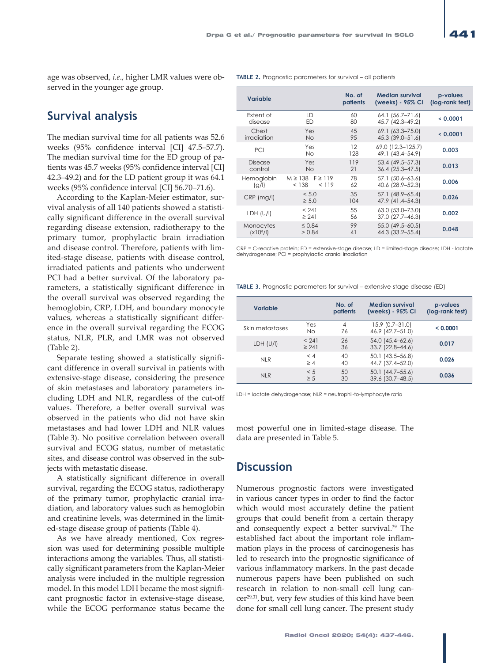**TABLE 2.** Prognostic parameters for survival – all patients

**Variable No. of** 

age was observed, *i.e*., higher LMR values were observed in the younger age group.

### **Survival analysis**

The median survival time for all patients was 52.6 weeks (95% confidence interval [CI] 47.5–57.7). The median survival time for the ED group of patients was 45.7 weeks (95% confidence interval [CI] 42.3–49.2) and for the LD patient group it was 64.1 weeks (95% confidence interval [CI] 56.70–71.6).

According to the Kaplan-Meier estimator, survival analysis of all 140 patients showed a statistically significant difference in the overall survival regarding disease extension, radiotherapy to the primary tumor, prophylactic brain irradiation and disease control. Therefore, patients with limited-stage disease, patients with disease control, irradiated patients and patients who underwent PCI had a better survival. Of the laboratory parameters, a statistically significant difference in the overall survival was observed regarding the hemoglobin, CRP, LDH, and boundary monocyte values, whereas a statistically significant difference in the overall survival regarding the ECOG status, NLR, PLR, and LMR was not observed (Table 2).

Separate testing showed a statistically significant difference in overall survival in patients with extensive-stage disease, considering the presence of skin metastases and laboratory parameters including LDH and NLR, regardless of the cut-off values. Therefore, a better overall survival was observed in the patients who did not have skin metastases and had lower LDH and NLR values (Table 3). No positive correlation between overall survival and ECOG status, number of metastatic sites, and disease control was observed in the subjects with metastatic disease.

A statistically significant difference in overall survival, regarding the ECOG status, radiotherapy of the primary tumor, prophylactic cranial irradiation, and laboratory values such as hemoglobin and creatinine levels, was determined in the limited-stage disease group of patients (Table 4).

As we have already mentioned, Cox regression was used for determining possible multiple interactions among the variables. Thus, all statistically significant parameters from the Kaplan-Meier analysis were included in the multiple regression model. In this model LDH became the most significant prognostic factor in extensive-stage disease, while the ECOG performance status became the

|  |                                    |                                                | patients  | (weeks) - 95% CI                       | (log-rank test) |
|--|------------------------------------|------------------------------------------------|-----------|----------------------------------------|-----------------|
|  | Extent of<br>disease               | LD<br>ED                                       | 60<br>80  | 64.1 (56.7–71.6)<br>45.7 (42.3-49.2)   | 0.0001          |
|  | Chest<br>irradiation               | Yes<br><b>No</b>                               | 45<br>95  | 69.1 (63.3-75.0)<br>45.3 (39.0-51.6)   | < 0.0001        |
|  | PCI                                | Yes<br><b>No</b>                               | 12<br>128 | 69.0 (12.3-125.7)<br>49.1 (43.4-54.9)  | 0.003           |
|  | <b>Disease</b><br>control          | Yes<br><b>No</b>                               | 119<br>21 | 53.4 (49.5-57.3)<br>$36.4$ (25.3-47.5) | 0.013           |
|  | Hemoglobin<br>(g/l)                | $F \geq 119$<br>$M \geq 138$<br>< 138<br>< 119 | 78<br>62  | 57.1 (50.6-63.6)<br>40.6 (28.9-52.3)   | 0.006           |
|  | $CRP$ (mg/l)                       | < 5.0<br>$\geq 5.0$                            | 35<br>104 | 57.1 (48.9-65.4)<br>47.9 (41.4–54.3)   | 0.026           |
|  | LDH (U/I)                          | < 241<br>$\geq 241$                            | 55<br>56  | 63.0 (53.0-73.0)<br>37.0 (27.7-46.3)   | 0.002           |
|  | Monocytes<br>(x10 <sup>9</sup> /I) | $\leq 0.84$<br>> 0.84                          | 99<br>41  | 55.0 (49.5-60.5)<br>44.3 (33.2-55.4)   | 0.048           |

**Median survival** 

CRP = C-reactive protein; ED = extensive-stage disease; LD = limited-stage disease; LDH - lactate dehydrogenase; PCI = prophylactic cranial irradiation

**TABLE 3.** Prognostic parameters for survival – extensive-stage disease (ED)

| Variable        |                     | No. of<br>patients | <b>Median survival</b><br>(weeks) - 95% CI | p-values<br>(log-rank test) |
|-----------------|---------------------|--------------------|--------------------------------------------|-----------------------------|
| Skin metastases | Yes<br><b>No</b>    | 4<br>76            | $15.9$ (0.7-31.0)<br>46.9 (42.7-51.0)      | < 0.0001                    |
| LDH (U/I)       | < 241<br>$\geq 241$ | 26<br>36           | 54.0 (45.4-62.6)<br>33.7 (22.8-44.6)       | 0.017                       |
| NI <sub>R</sub> | < 4<br>$\geq 4$     | 40<br>40           | 50.1 (43.5–56.8)<br>44.7 (37.4-52.0)       | 0.026                       |
| <b>NLR</b>      | < 5<br>$\geq 5$     | 50<br>30           | 50.1 (44.7–55.6)<br>39.6 (30.7-48.5)       | 0.036                       |

LDH = lactate dehydrogenase; NLR = neutrophil-to-lymphocyte ratio

most powerful one in limited-stage disease. The data are presented in Table 5.

### **Discussion**

Numerous prognostic factors were investigated in various cancer types in order to find the factor which would most accurately define the patient groups that could benefit from a certain therapy and consequently expect a better survival.39 The established fact about the important role inflammation plays in the process of carcinogenesis has led to research into the prognostic significance of various inflammatory markers. In the past decade numerous papers have been published on such research in relation to non-small cell lung cancer29,31, but, very few studies of this kind have been done for small cell lung cancer. The present study

**p-values**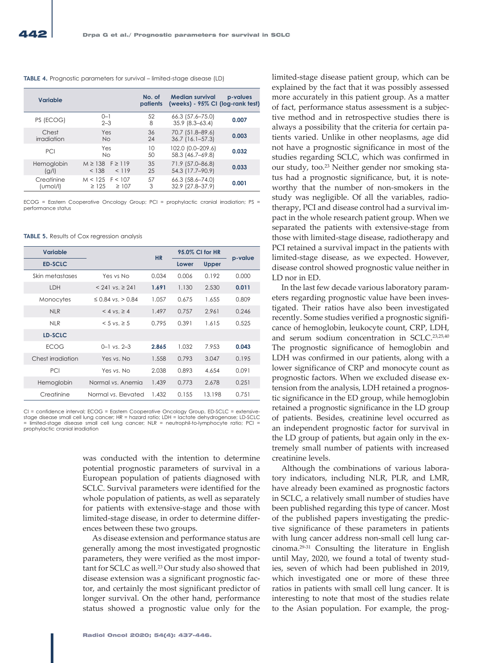#### **TABLE 4.** Prognostic parameters for survival – limited-stage disease (LD)

| <b>Variable</b>        |                                               | No. of<br>patients | <b>Median survival</b><br>(weeks) - 95% CI (log-rank test) | p-values |
|------------------------|-----------------------------------------------|--------------------|------------------------------------------------------------|----------|
| PS (ECOG)              | $0 - 1$<br>$2 - 3$                            | 52<br>8            | 66.3 (57.6–75.0)<br>$35.9$ $(8.3 - 63.4)$                  | 0.007    |
| Chest<br>irradiation   | Yes<br>No.                                    | 36<br>24           | 70.7 (51.8-89.6)<br>$36.7$ (16.1–57.3)                     | 0.003    |
| PCI                    | Yes<br><b>No</b>                              | 10<br>50           | 102.0 (0.0-209.6)<br>58.3 (46.7–69.8)                      | 0.032    |
| Hemoglobin<br>(g/l)    | $M \ge 138$ F $\ge 119$<br>< 138<br>< 119     | 35<br>25           | 71.9 (57.0-86.8)<br>54.3 (17.7-90.9)                       | 0.033    |
| Creatinine<br>(umol/l) | $M < 125$ F < 107<br>$\geq$ 125<br>$\geq 107$ | 57<br>3            | 66.3 (58.6-74.0)<br>32.9 (27.8-37.9)                       | 0.001    |

ECOG = Eastern Cooperative Oncology Group; PCI = prophylactic cranial irradiation; PS = performance status

#### **TABLE 5.** Results of Cox regression analysis

| Variable          |                          | <b>HR</b> | 95.0% CI for HR |        |         |
|-------------------|--------------------------|-----------|-----------------|--------|---------|
| <b>ED-SCLC</b>    |                          |           | Lower           | Upper  | p-value |
| Skin metastases   | Yes vs No                | 0.034     | 0.006           | 0.192  | 0.000   |
| LDH               | $< 241$ vs. $\geq 241$   | 1.691     | 1.130           | 2.530  | 0.011   |
| Monocytes         | $\leq$ 0.84 vs. $>$ 0.84 | 1.057     | 0.675           | 1.655  | 0.809   |
| <b>NLR</b>        | $<$ 4 vs. $\geq$ 4       | 1.497     | 0.757           | 2.961  | 0.246   |
| <b>NLR</b>        | $< 5$ vs. $\geq 5$       | 0.795     | 0.391           | 1.615  | 0.525   |
| LD-SCLC           |                          |           |                 |        |         |
| <b>ECOG</b>       | $0-1$ vs. $2-3$          | 2.865     | 1.032           | 7.953  | 0.043   |
| Chest irradiation | Yes vs. No               | 1.558     | 0.793           | 3.047  | 0.195   |
| PCI               | Yes vs. No               | 2.038     | 0.893           | 4.654  | 0.091   |
| Hemoglobin        | Normal vs. Anemia        | 1.439     | 0.773           | 2.678  | 0.251   |
| Creatinine        | Normal vs. Elevated      | 1.432     | 0.155           | 13.198 | 0.751   |

CI = confidence interval; ECOG = Eastern Cooperative Oncology Group, ED-SCLC = extensivestage disease small cell lung cancer; HR = hazard ratio; LDH = lactate dehydrogenase; LD-SCLC = limited-stage disease small cell lung cancer; NLR = neutrophil-to-lymphocyte ratio; PCI = prophylactic cranial irradiation

> was conducted with the intention to determine potential prognostic parameters of survival in a European population of patients diagnosed with SCLC. Survival parameters were identified for the whole population of patients, as well as separately for patients with extensive-stage and those with limited-stage disease, in order to determine differences between these two groups.

> As disease extension and performance status are generally among the most investigated prognostic parameters, they were verified as the most important for SCLC as well.23 Our study also showed that disease extension was a significant prognostic factor, and certainly the most significant predictor of longer survival. On the other hand, performance status showed a prognostic value only for the

limited-stage disease patient group, which can be explained by the fact that it was possibly assessed more accurately in this patient group. As a matter of fact, performance status assessment is a subjective method and in retrospective studies there is always a possibility that the criteria for certain patients varied. Unlike in other neoplasms, age did not have a prognostic significance in most of the studies regarding SCLC, which was confirmed in our study, too.<sup>23</sup> Neither gender nor smoking status had a prognostic significance, but, it is noteworthy that the number of non-smokers in the study was negligible. Of all the variables, radiotherapy, PCI and disease control had a survival impact in the whole research patient group. When we separated the patients with extensive-stage from those with limited-stage disease, radiotherapy and PCI retained a survival impact in the patients with limited-stage disease, as we expected. However, disease control showed prognostic value neither in LD nor in ED.

In the last few decade various laboratory parameters regarding prognostic value have been investigated. Their ratios have also been investigated recently. Some studies verified a prognostic significance of hemoglobin, leukocyte count, CRP, LDH, and serum sodium concentration in SCLC.23,25,40 The prognostic significance of hemoglobin and LDH was confirmed in our patients, along with a lower significance of CRP and monocyte count as prognostic factors. When we excluded disease extension from the analysis, LDH retained a prognostic significance in the ED group, while hemoglobin retained a prognostic significance in the LD group of patients. Besides, creatinine level occurred as an independent prognostic factor for survival in the LD group of patients, but again only in the extremely small number of patients with increased creatinine levels.

Although the combinations of various laboratory indicators, including NLR, PLR, and LMR, have already been examined as prognostic factors in SCLC, a relatively small number of studies have been published regarding this type of cancer. Most of the published papers investigating the predictive significance of these parameters in patients with lung cancer address non-small cell lung carcinoma.29-31 Consulting the literature in English until May, 2020, we found a total of twenty studies, seven of which had been published in 2019, which investigated one or more of these three ratios in patients with small cell lung cancer. It is interesting to note that most of the studies relate to the Asian population. For example, the prog-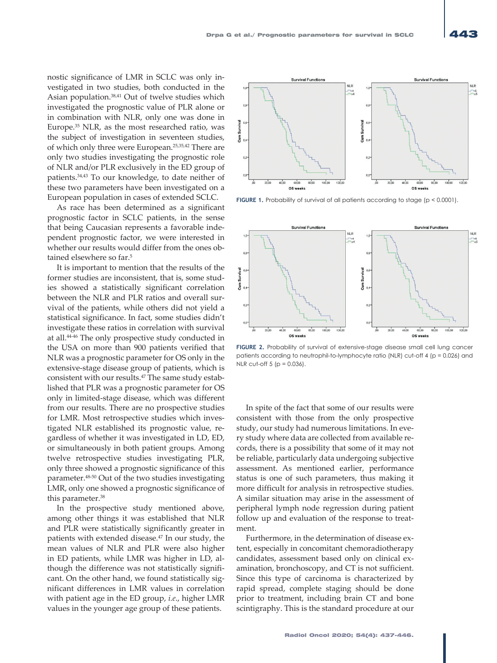**Survival Functions** 

 $20<sup>1</sup>$  $\sqrt{2}$  $600$ 

nostic significance of LMR in SCLC was only investigated in two studies, both conducted in the Asian population.38,41 Out of twelve studies which investigated the prognostic value of PLR alone or in combination with NLR, only one was done in Europe.35 NLR, as the most researched ratio, was the subject of investigation in seventeen studies, of which only three were European.25,35,42 There are only two studies investigating the prognostic role of NLR and/or PLR exclusively in the ED group of patients.34,43 To our knowledge, to date neither of these two parameters have been investigated on a European population in cases of extended SCLC.

As race has been determined as a significant prognostic factor in SCLC patients, in the sense that being Caucasian represents a favorable independent prognostic factor, we were interested in whether our results would differ from the ones obtained elsewhere so far.<sup>5</sup>

It is important to mention that the results of the former studies are inconsistent, that is, some studies showed a statistically significant correlation between the NLR and PLR ratios and overall survival of the patients, while others did not yield a statistical significance. In fact, some studies didn't investigate these ratios in correlation with survival at all.44-46 The only prospective study conducted in the USA on more than 900 patients verified that NLR was a prognostic parameter for OS only in the extensive-stage disease group of patients, which is consistent with our results.47 The same study established that PLR was a prognostic parameter for OS only in limited-stage disease, which was different from our results. There are no prospective studies for LMR. Most retrospective studies which investigated NLR established its prognostic value, regardless of whether it was investigated in LD, ED, or simultaneously in both patient groups. Among twelve retrospective studies investigating PLR, only three showed a prognostic significance of this parameter.48-50 Out of the two studies investigating LMR, only one showed a prognostic significance of this parameter.<sup>38</sup>

In the prospective study mentioned above, among other things it was established that NLR and PLR were statistically significantly greater in patients with extended disease.47 In our study, the mean values of NLR and PLR were also higher in ED patients, while LMR was higher in LD, although the difference was not statistically significant. On the other hand, we found statistically significant differences in LMR values in correlation with patient age in the ED group, *i.e*., higher LMR values in the younger age group of these patients.

FIGURE 1. Probability of survival of all patients according to stage (p < 0.0001).

 $12000$ 

.<br>Nil C  $\frac{1}{2}$ 



**FIGURE 2.** Probability of survival of extensive-stage disease small cell lung cancer patients according to neutrophil-to-lymphocyte ratio (NLR) cut-off 4 (p = 0.026) and NLR cut-off  $5 (p = 0.036)$ .

In spite of the fact that some of our results were consistent with those from the only prospective study, our study had numerous limitations. In every study where data are collected from available records, there is a possibility that some of it may not be reliable, particularly data undergoing subjective assessment. As mentioned earlier, performance status is one of such parameters, thus making it more difficult for analysis in retrospective studies. A similar situation may arise in the assessment of peripheral lymph node regression during patient follow up and evaluation of the response to treatment.

Furthermore, in the determination of disease extent, especially in concomitant chemoradiotherapy candidates, assessment based only on clinical examination, bronchoscopy, and CT is not sufficient. Since this type of carcinoma is characterized by rapid spread, complete staging should be done prior to treatment, including brain CT and bone scintigraphy. This is the standard procedure at our

 $T<sub>5</sub>$ 

 $120.00$ 

**Survival Function** 

 $\overline{a}$  $\mathbb{R}$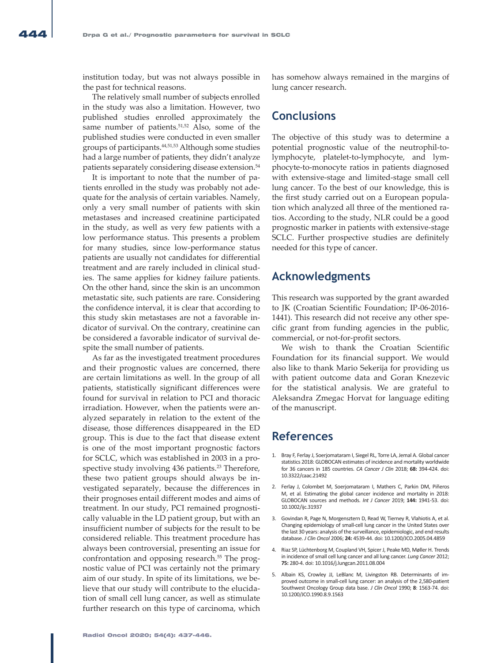institution today, but was not always possible in the past for technical reasons.

The relatively small number of subjects enrolled in the study was also a limitation. However, two published studies enrolled approximately the same number of patients.<sup>51,52</sup> Also, some of the published studies were conducted in even smaller groups of participants.44,51,53 Although some studies had a large number of patients, they didn't analyze patients separately considering disease extension.<sup>54</sup>

It is important to note that the number of patients enrolled in the study was probably not adequate for the analysis of certain variables. Namely, only a very small number of patients with skin metastases and increased creatinine participated in the study, as well as very few patients with a low performance status. This presents a problem for many studies, since low-performance status patients are usually not candidates for differential treatment and are rarely included in clinical studies. The same applies for kidney failure patients. On the other hand, since the skin is an uncommon metastatic site, such patients are rare. Considering the confidence interval, it is clear that according to this study skin metastases are not a favorable indicator of survival. On the contrary, creatinine can be considered a favorable indicator of survival despite the small number of patients.

As far as the investigated treatment procedures and their prognostic values are concerned, there are certain limitations as well. In the group of all patients, statistically significant differences were found for survival in relation to PCI and thoracic irradiation. However, when the patients were analyzed separately in relation to the extent of the disease, those differences disappeared in the ED group. This is due to the fact that disease extent is one of the most important prognostic factors for SCLC, which was established in 2003 in a prospective study involving 436 patients.<sup>23</sup> Therefore, these two patient groups should always be investigated separately, because the differences in their prognoses entail different modes and aims of treatment. In our study, PCI remained prognostically valuable in the LD patient group, but with an insufficient number of subjects for the result to be considered reliable. This treatment procedure has always been controversial, presenting an issue for confrontation and opposing research.<sup>55</sup> The prognostic value of PCI was certainly not the primary aim of our study. In spite of its limitations, we believe that our study will contribute to the elucidation of small cell lung cancer, as well as stimulate further research on this type of carcinoma, which has somehow always remained in the margins of lung cancer research.

### **Conclusions**

The objective of this study was to determine a potential prognostic value of the neutrophil-tolymphocyte, platelet-to-lymphocyte, and lymphocyte-to-monocyte ratios in patients diagnosed with extensive-stage and limited-stage small cell lung cancer. To the best of our knowledge, this is the first study carried out on a European population which analyzed all three of the mentioned ratios. According to the study, NLR could be a good prognostic marker in patients with extensive-stage SCLC. Further prospective studies are definitely needed for this type of cancer.

### **Acknowledgments**

This research was supported by the grant awarded to JK (Croatian Scientific Foundation; IP-06-2016- 1441). This research did not receive any other specific grant from funding agencies in the public, commercial, or not-for-profit sectors.

We wish to thank the Croatian Scientific Foundation for its financial support. We would also like to thank Mario Sekerija for providing us with patient outcome data and Goran Knezevic for the statistical analysis. We are grateful to Aleksandra Zmegac Horvat for language editing of the manuscript.

### **References**

- 1. Bray F, Ferlay J, Soerjomataram I, Siegel RL, Torre LA, Jemal A. Global cancer statistics 2018: GLOBOCAN estimates of incidence and mortality worldwide for 36 cancers in 185 countries. *CA Cancer J Clin* 2018; **68:** 394-424. doi: 10.3322/caac.21492
- 2. Ferlay J, Colombet M, Soerjomataram I, Mathers C, Parkin DM, Piñeros M, et al. Estimating the global cancer incidence and mortality in 2018: GLOBOCAN sources and methods. *Int J Cancer* 2019; **144:** 1941-53. doi: 10.1002/ijc.31937
- 3. Govindan R, Page N, Morgensztern D, Read W, Tierney R, Vlahiotis A, et al. Changing epidemiology of small-cell lung cancer in the United States over the last 30 years: analysis of the surveillance, epidemiologic, and end results database. *J Clin Oncol* 2006; **24:** 4539-44. doi: 10.1200/JCO.2005.04.4859
- 4. Riaz SP, Lüchtenborg M, Coupland VH, Spicer J, Peake MD, Møller H. Trends in incidence of small cell lung cancer and all lung cancer. *Lung Cancer* 2012; **75:** 280-4. doi: 10.1016/j.lungcan.2011.08.004
- 5. Albain KS, Crowley JJ, LeBlanc M, Livingston RB. Determinants of improved outcome in small-cell lung cancer: an analysis of the 2,580-patient Southwest Oncology Group data base. *J Clin Oncol* 1990; **8**: 1563-74. doi: 10.1200/JCO.1990.8.9.1563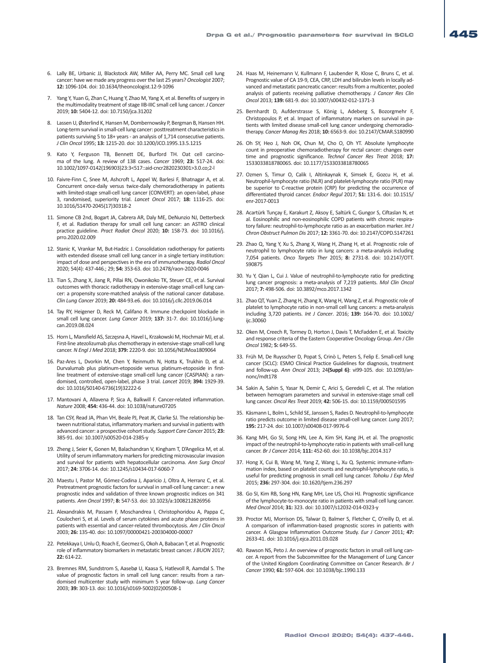- 6. Lally BE, Urbanic JJ, Blackstock AW, Miller AA, Perry MC. Small cell lung cancer: have we made any progress over the last 25 years? *Oncologist* 2007; **12:** 1096-104. doi: 10.1634/theoncologist.12-9-1096
- 7. Yang Y, Yuan G, Zhan C, Huang Y, Zhao M, Yang X, et al. Benefits of surgery in the multimodality treatment of stage IIB-IIIC small cell lung cancer. *J Cancer* 2019; **10:** 5404-12. doi: 10.7150/jca.31202
- 8. Lassen U, Østerlind K, Hansen M, Dombernowsky P, Bergman B, Hansen HH. Long-term survival in small-cell lung cancer: posttreatment characteristics in patients surviving 5 to 18+ years - an analysis of 1,714 consecutive patients. *J Clin Oncol* 1995; **13:** 1215-20. doi: 10.1200/JCO.1995.13.5.1215
- 9. Kato Y, Ferguson TB, Bennett DE, Burford TH. Oat cell carcinoma of the lung. A review of 138 cases. *Cancer* 1969; **23:** 517-24. doi: 10.1002/1097-0142(196903)23:3<517::aid-cncr2820230301>3.0.co;2-l
- 10. Faivre-Finn C, Snee M, Ashcroft L, Appel W, Barlesi F, Bhatnagar A, et al. Concurrent once-daily versus twice-daily chemoradiotherapy in patients with limited-stage small-cell lung cancer (CONVERT): an open-label, phase 3, randomised, superiority trial. *Lancet Oncol* 2017; **18:** 1116-25. doi: 10.1016/S1470-2045(17)30318-2
- 11. Simone CB 2nd, Bogart JA, Cabrera AR, Daly ME, DeNunzio NJ, Detterbeck F, et al. Radiation therapy for small cell lung cancer: an ASTRO clinical practice guideline. *Pract Radiat Oncol* 2020; **10:** 158-73. doi: 10.1016/j. prro.2020.02.009
- 12. Stanic K, Vrankar M, But-Hadzic J. Consolidation radiotherapy for patients with extended disease small cell lung cancer in a single tertiary institution: impact of dose and perspectives in the era of immunotherapy. *Radiol Oncol* 2020; 54(4): 437-446.; 29; **54:** 353-63. doi: 10.2478/raon-2020-0046
- 13. Tian S, Zhang X, Jiang R, Pillai RN, Owonikoko TK, Steuer CE, et al. Survival outcomes with thoracic radiotherapy in extensive-stage small-cell lung cancer: a propensity score-matched analysis of the national cancer database. *Clin Lung Cancer* 2019; **20:** 484-93.e6. doi: 10.1016/j.cllc.2019.06.014
- 14. Tay RY, Heigener D, Reck M, Califano R. Immune checkpoint blockade in small cell lung cancer. *Lung Cancer* 2019; **137:** 31-7. doi: 10.1016/j.lungcan.2019.08.024
- 15. Horn L, Mansfield AS, Szczęsna A, Havel L, Krzakowski M, Hochmair MJ, et al. First-line atezolizumab plus chemotherapy in extensive-stage small-cell lung cancer. *N Engl J Med* 2018; **379:** 2220-9. doi: 10.1056/NEJMoa1809064
- 16. Paz-Ares L, Dvorkin M, Chen Y, Reinmuth N, Hotta K, Trukhin D, et al. Durvalumab plus platinum-etoposide versus platinum-etoposide in firstline treatment of extensive-stage small-cell lung cancer (CASPIAN): a randomised, controlled, open-label, phase 3 trial. *Lancet* 2019; **394:** 1929-39. doi: 10.1016/S0140-6736(19)32222-6
- 17. Mantovani A, Allavena P, Sica A, Balkwill F. Cancer-related inflammation. *Nature* 2008; **454:** 436-44. doi: 10.1038/nature07205
- 18. Tan CSY, Read JA, Phan VH, Beale PJ, Peat JK, Clarke SJ. The relationship between nutritional status, inflammatory markers and survival in patients with advanced cancer: a prospective cohort study. *Support Care Cancer* 2015; **23:** 385-91. doi: 10.1007/s00520-014-2385-y
- 19. Zheng J, Seier K, Gonen M, Balachandran V, Kingham T, D'Angelica M, et al. Utility of serum inflammatory markers for predicting microvascular invasion and survival for patients with hepatocellular carcinoma. *Ann Surg Oncol* 2017; **24:** 3706-14. doi: 10.1245/s10434-017-6060-7
- 20. Maestu I, Pastor M, Gómez-Codina J, Aparicio J, Oltra A, Herranz C, et al. Pretreatment prognostic factors for survival in small-cell lung cancer: a new prognostic index and validation of three known prognostic indices on 341 patients. *Ann Oncol* 1997; **8:** 547-53. doi: 10.1023/a:1008212826956
- 21. Alexandrakis M, Passam F, Moschandrea I, Christophoridou A, Pappa C, Coulocheri S, et al. Levels of serum cytokines and acute phase proteins in patients with essential and cancer-related thrombocytosis. *Am J Clin Oncol* 2003; **26:** 135-40. doi: 10.1097/00000421-200304000-00007
- 22. Petekkaya I, Unlu O, Roach E, Gecmez G, Okoh A, Babacan T, et al. Prognostic role of inflammatory biomarkers in metastatic breast cancer. *J BUON* 2017; **22:** 614-22.
- 23. Bremnes RM, Sundstrom S, Aasebø U, Kaasa S, Hatlevoll R, Aamdal S. The value of prognostic factors in small cell lung cancer: results from a randomised multicenter study with minimum 5 year follow-up. *Lung Cancer* 2003; **39:** 303-13. doi: 10.1016/s0169-5002(02)00508-1
- 24. Haas M, Heinemann V, Kullmann F, Laubender R, Klose C, Bruns C, et al. Prognostic value of CA 19-9, CEA, CRP, LDH and bilirubin levels in locally advanced and metastatic pancreatic cancer: results from a multicenter, pooled analysis of patients receiving palliative chemotherapy. *J Cancer Res Clin Oncol* 2013; **139:** 681-9. doi: 10.1007/s00432-012-1371-3
- 25. Bernhardt D, Aufderstrasse S, König L, Adeberg S, Bozorgmehr F, Christopoulos P, et al. Impact of inflammatory markers on survival in patients with limited disease small-cell lung cancer undergoing chemoradiotherapy. *Cancer Manag Res* 2018; **10:** 6563-9. doi: 10.2147/CMAR.S180990
- 26. Oh SY, Heo J, Noh OK, Chun M, Cho O, Oh YT. Absolute lymphocyte count in preoperative chemoradiotherapy for rectal cancer: changes over time and prognostic significance. *Technol Cancer Res Treat* 2018; **17:** 1533033818780065. doi: 10.1177/1533033818780065
- 27. Ozmen S, Timur O, Calik I, Altinkaynak K, Simsek E, Gozcu H, et al. Neutrophil-lymphocyte ratio (NLR) and platelet-lymphocyte ratio (PLR) may be superior to C-reactive protein (CRP) for predicting the occurrence of differentiated thyroid cancer. *Endocr Regul* 2017; **51:** 131-6. doi: 10.1515/ enr-2017-0013
- 28. Acartürk Tunçay E, Karakurt Z, Aksoy E, Saltürk C, Gungor S, Ciftaslan N, et al. Eosinophilic and non-eosinophilic COPD patients with chronic respiratory failure: neutrophil-to-lymphocyte ratio as an exacerbation marker. *Int J Chron Obstruct Pulmon Dis* 2017; **12:** 3361-70. doi: 10.2147/COPD.S147261
- 29. Zhao Q, Yang Y, Xu S, Zhang X, Wang H, Zhang H, et al. Prognostic role of neutrophil to lymphocyte ratio in lung cancers: a meta-analysis including 7,054 patients. *Onco Targets Ther* 2015; **8:** 2731-8. doi: 10.2147/OTT. S90875
- 30. Yu Y, Qian L, Cui J. Value of neutrophil-to-lymphocyte ratio for predicting lung cancer prognosis: a meta-analysis of 7,219 patients. *Mol Clin Oncol* 2017; **7:** 498-506. doi: 10.3892/mco.2017.1342
- 31. Zhao QT, Yuan Z, Zhang H, Zhang X, Wang H, Wang Z, et al. Prognostic role of platelet to lymphocyte ratio in non-small cell lung cancers: a meta-analysis including 3,720 patients. *Int J Cancer*. 2016; **139:** 164-70. doi: 10.1002/ ijc.30060
- 32. Oken M, Creech R, Tormey D, Horton J, Davis T, McFadden E, et al. Toxicity and response criteria of the Eastern Cooperative Oncology Group. *Am J Clin Oncol* 1982; **5:** 649-55.
- 33. Früh M, De Ruysscher D, Popat S, Crinò L, Peters S, Felip E. Small-cell lung cancer (SCLC): ESMO Clinical Practice Guidelines for diagnosis, treatment and follow-up. *Ann Oncol* 2013; 24**(Suppl 6)**: vi99-105. doi: 10.1093/annonc/mdt178
- 34. Sakin A, Sahin S, Yasar N, Demir C, Arici S, Geredeli C, et al. The relation between hemogram parameters and survival in extensive-stage small cell lung cancer. *Oncol Res Treat* 2019; **42:** 506-15. doi: 10.1159/000501595
- 35. Käsmann L, Bolm L, Schild SE, Janssen S, Rades D. Neutrophil-to-lymphocyte ratio predicts outcome in limited disease small-cell lung cancer. *Lung* 2017; **195:** 217-24. doi: 10.1007/s00408-017-9976-6
- 36. Kang MH, Go SI, Song HN, Lee A, Kim SH, Kang JH, et al. The prognostic impact of the neutrophil-to-lymphocyte ratio in patients with small-cell lung cancer. *Br J Cancer* 2014; **111:** 452-60. doi: 10.1038/bjc.2014.317
- 37. Hong X, Cui B, Wang M, Yang Z, Wang L, Xu Q. Systemic immune-inflammation index, based on platelet counts and neutrophil-lymphocyte ratio, is useful for predicting prognosis in small cell lung cancer. *Tohoku J Exp Med* 2015; **236:** 297-304. doi: 10.1620/tjem.236.297
- 38. Go SI, Kim RB, Song HN, Kang MH, Lee US, Choi HJ. Prognostic significance of the lymphocyte-to-monocyte ratio in patients with small cell lung cancer. *Med Oncol* 2014; **31:** 323. doi: 10.1007/s12032-014-0323-y
- 39. Proctor MJ, Morrison DS, Talwar D, Balmer S, Fletcher C, O'reilly D, et al. A comparison of inflammation-based prognostic scores in patients with cancer. A Glasgow Inflammation Outcome Study. *Eur J Cancer* 2011; **47:** 2633-41. doi: 10.1016/j.ejca.2011.03.028
- 40. Rawson NS, Peto J. An overview of prognostic factors in small cell lung cancer. A report from the Subcommittee for the Management of Lung Cancer of the United Kingdom Coordinating Committee on Cancer Research. *Br J Cancer* 1990; **61:** 597-604. doi: 10.1038/bjc.1990.133